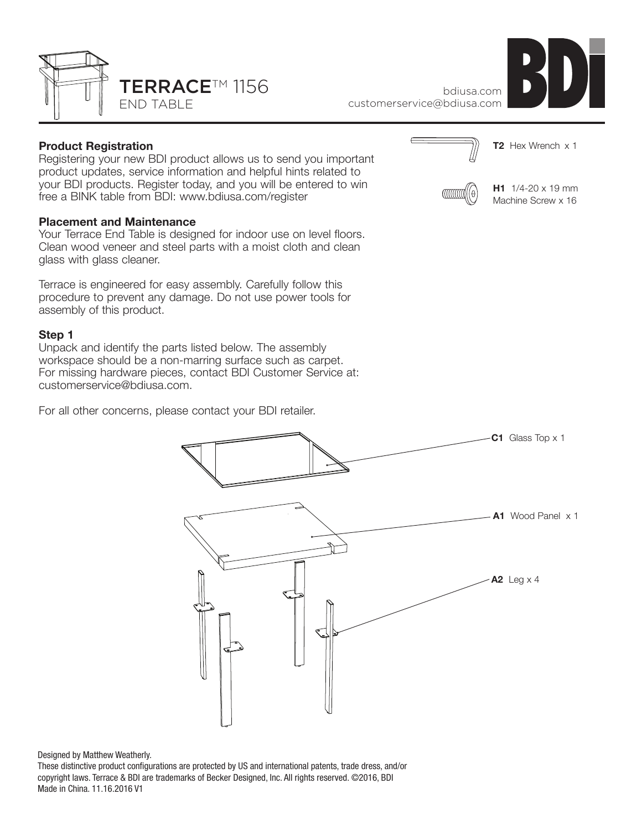

bdiusa.com customerservice@bdiusa.com

# **Product Registration**

Registering your new BDI product allows us to send you important product updates, service information and helpful hints related to your BDI products. Register today, and you will be entered to win free a BINK table from BDI: www.bdiusa.com/register

#### **Placement and Maintenance**

Your Terrace End Table is designed for indoor use on level floors. Clean wood veneer and steel parts with a moist cloth and clean glass with glass cleaner.

Terrace is engineered for easy assembly. Carefully follow this procedure to prevent any damage. Do not use power tools for assembly of this product.

### **Step 1**

Unpack and identify the parts listed below. The assembly workspace should be a non-marring surface such as carpet. For missing hardware pieces, contact BDI Customer Service at: customerservice@bdiusa.com.

For all other concerns, please contact your BDI retailer.



**H1** 1/4-20 x 19 mm Machine Screw x 16



Designed by Matthew Weatherly.

These distinctive product configurations are protected by US and international patents, trade dress, and/or copyright laws. Terrace & BDI are trademarks of Becker Designed, Inc. All rights reserved. ©2016, BDI Made in China. 11.16.2016 V1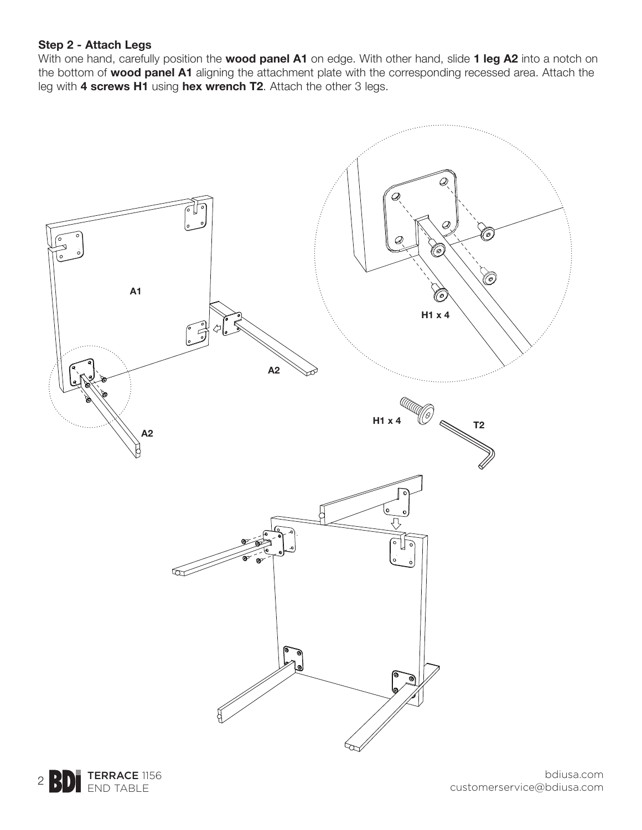# **Step 2 - Attach Legs**

With one hand, carefully position the **wood panel A1** on edge. With other hand, slide **1 leg A2** into a notch on the bottom of **wood panel A1** aligning the attachment plate with the corresponding recessed area. Attach the leg with **4 screws H1** using **hex wrench T2**. Attach the other 3 legs.